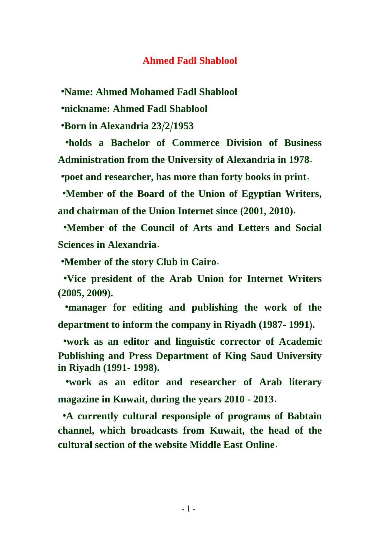#### **Ahmed Fadl Shablool**

 **•Name: Ahmed Mohamed Fadl Shablool**

 **•nickname: Ahmed Fadl Shablool**

 **•Born in Alexandria 23/2/1953**

 **•holds a Bachelor of Commerce Division of Business Administration from the University of Alexandria in 1978.**

 **•poet and researcher, has more than forty books in print.**

 **•Member of the Board of the Union of Egyptian Writers, and chairman of the Union Internet since (2001, 2010).**

 **•Member of the Council of Arts and Letters and Social Sciences in Alexandria.**

 **•Member of the story Club in Cairo.**

 **•Vice president of the Arab Union for Internet Writers (2005, 2009).**

 **•manager for editing and publishing the work of the department to inform the company in Riyadh (1987- 1991(.**

 **•work as an editor and linguistic corrector of Academic Publishing and Press Department of King Saud University in Riyadh (1991- 1998).**

 **•work as an editor and researcher of Arab literary magazine in Kuwait, during the years 2010 - 2013.**

 **•A currently cultural responsiple of programs of Babtain channel, which broadcasts from Kuwait, the head of the cultural section of the website Middle East Online.**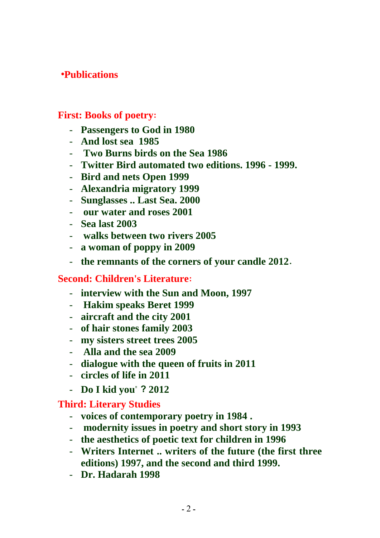# **•Publications**

### **First: Books of poetry:**

- **Passengers to God in 1980**
- **And lost sea 1985**
- **Two Burns birds on the Sea 1986**
- **Twitter Bird automated two editions. 1996 - 1999.**
- **Bird and nets Open 1999**
- **Alexandria migratory 1999**
- **Sunglasses .. Last Sea. 2000**
- **our water and roses 2001**
- **Sea last 2003**
- **walks between two rivers 2005**
- **a woman of poppy in 2009**
- **the remnants of the corners of your candle 2012.**

### **Second: Children's Literature:**

- **interview with the Sun and Moon, 1997**
- **Hakim speaks Beret 1999**
- **aircraft and the city 2001**
- **of hair stones family 2003**
- **my sisters street trees 2005**
- **Alla and the sea 2009**
- **dialogue with the queen of fruits in 2011**
- **circles of life in 2011**
- **Do I kid you" ? 2012**

### **Third: Literary Studies**

- **voices of contemporary poetry in 1984 .**
- **modernity issues in poetry and short story in 1993**
- **the aesthetics of poetic text for children in 1996**
- **Writers Internet .. writers of the future (the first three editions) 1997, and the second and third 1999.**
- **Dr. Hadarah 1998**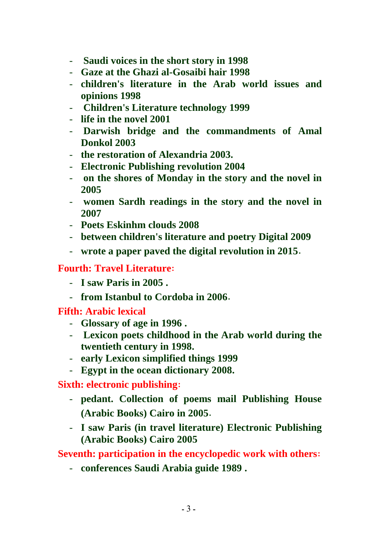- **Saudi voices in the short story in 1998**
- **Gaze at the Ghazi al-Gosaibi hair 1998**
- **children's literature in the Arab world issues and opinions 1998**
- **Children's Literature technology 1999**
- **life in the novel 2001**
- **Darwish bridge and the commandments of Amal Donkol 2003**
- **the restoration of Alexandria 2003.**
- **Electronic Publishing revolution 2004**
- **on the shores of Monday in the story and the novel in 2005**
- **women Sardh readings in the story and the novel in 2007**
- **Poets Eskinhm clouds 2008**
- **between children's literature and poetry Digital 2009**
- **wrote a paper paved the digital revolution in 2015.**

## **Fourth: Travel Literature:**

- **I saw Paris in 2005 .**
- **from Istanbul to Cordoba in 2006.**

**Fifth: Arabic lexical**

- **Glossary of age in 1996 .**
- **Lexicon poets childhood in the Arab world during the twentieth century in 1998.**
- **early Lexicon simplified things 1999**
- **Egypt in the ocean dictionary 2008.**

**Sixth: electronic publishing:**

- **pedant. Collection of poems mail Publishing House (Arabic Books) Cairo in 2005.**
- **I saw Paris (in travel literature) Electronic Publishing (Arabic Books) Cairo 2005**

**Seventh: participation in the encyclopedic work with others:**

- **conferences Saudi Arabia guide 1989 .**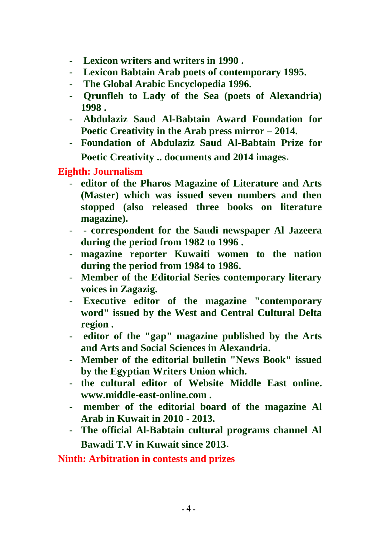- **Lexicon writers and writers in 1990 .**
- **Lexicon Babtain Arab poets of contemporary 1995.**
- **The Global Arabic Encyclopedia 1996.**
- **Qrunfleh to Lady of the Sea (poets of Alexandria) 1998 .**
- **Abdulaziz Saud Al-Babtain Award Foundation for Poetic Creativity in the Arab press mirror – 2014.**
- **Foundation of Abdulaziz Saud Al-Babtain Prize for Poetic Creativity .. documents and 2014 images.**

**Eighth: Journalism**

- **editor of the Pharos Magazine of Literature and Arts (Master) which was issued seven numbers and then stopped (also released three books on literature magazine).**
- **- correspondent for the Saudi newspaper Al Jazeera during the period from 1982 to 1996 .**
- **magazine reporter Kuwaiti women to the nation during the period from 1984 to 1986.**
- **Member of the Editorial Series contemporary literary voices in Zagazig.**
- **Executive editor of the magazine "contemporary word" issued by the West and Central Cultural Delta region .**
- **editor of the "gap" magazine published by the Arts and Arts and Social Sciences in Alexandria.**
- **Member of the editorial bulletin "News Book" issued by the Egyptian Writers Union which.**
- **the cultural editor of Website Middle East online. www.middle-east-online.com .**
- **member of the editorial board of the magazine Al Arab in Kuwait in 2010 - 2013.**
- **The official Al-Babtain cultural programs channel Al Bawadi T.V in Kuwait since 2013.**

**Ninth: Arbitration in contests and prizes**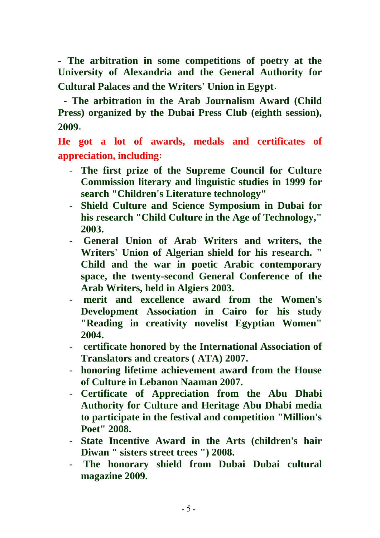**- The arbitration in some competitions of poetry at the University of Alexandria and the General Authority for Cultural Palaces and the Writers' Union in Egypt.**

**- The arbitration in the Arab Journalism Award (Child Press) organized by the Dubai Press Club (eighth session), 2009.**

**He got a lot of awards, medals and certificates of appreciation, including:**

- **The first prize of the Supreme Council for Culture Commission literary and linguistic studies in 1999 for search "Children's Literature technology"**
- **Shield Culture and Science Symposium in Dubai for his research "Child Culture in the Age of Technology," 2003.**
- **General Union of Arab Writers and writers, the Writers' Union of Algerian shield for his research. " Child and the war in poetic Arabic contemporary space, the twenty-second General Conference of the Arab Writers, held in Algiers 2003.**
- **merit and excellence award from the Women's Development Association in Cairo for his study "Reading in creativity novelist Egyptian Women" 2004.**
- **certificate honored by the International Association of Translators and creators ( ATA) 2007.**
- **honoring lifetime achievement award from the House of Culture in Lebanon Naaman 2007.**
- **Certificate of Appreciation from the Abu Dhabi Authority for Culture and Heritage Abu Dhabi media to participate in the festival and competition "Million's Poet" 2008.**
- **State Incentive Award in the Arts (children's hair Diwan " sisters street trees ") 2008.**
- **The honorary shield from Dubai Dubai cultural magazine 2009.**